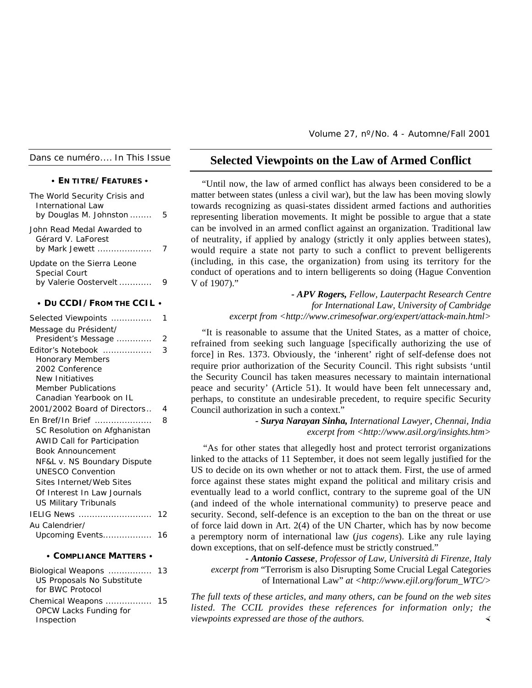*Dans ce numéro.... In This Issue*

|  |  |  | $\cdot$ En titre/Features $\cdot$ |  |
|--|--|--|-----------------------------------|--|
|  |  |  |                                   |  |

| The World Security Crisis and<br><b>International Law</b><br>by Douglas M. Johnston | 5  |
|-------------------------------------------------------------------------------------|----|
| John Read Medal Awarded to<br>Gérard V. LaForest<br>by Mark Jewett                  | 7  |
| Update on the Sierra Leone<br>Special Court<br>by Valerie Oostervelt                | 9  |
| $\cdot$ Du CCDI / From the CCIL $\cdot$                                             |    |
| Selected Viewpoints<br>Message du Président/                                        | 1  |
| President's Message                                                                 | 2  |
| Editor's Notebook                                                                   | 3  |
| <b>Honorary Members</b>                                                             |    |
| 2002 Conference                                                                     |    |
| New Initiatives                                                                     |    |
| <b>Member Publications</b>                                                          |    |
| Canadian Yearbook on IL                                                             |    |
| 2001/2002 Board of Directors                                                        | 4  |
| En Bref/In Brief                                                                    | 8  |
| SC Resolution on Afghanistan                                                        |    |
| <b>AWID Call for Participation</b>                                                  |    |
| <b>Book Announcement</b>                                                            |    |
| NF&L v. NS Boundary Dispute                                                         |    |
| <b>UNESCO Convention</b>                                                            |    |
| Sites Internet/Web Sites                                                            |    |
| Of Interest In Law Journals                                                         |    |
| <b>US Military Tribunals</b>                                                        |    |
| IELIG News                                                                          | 12 |
| Au Calendrier/                                                                      |    |
| Upcoming Events                                                                     | 16 |
| • COMPLIANCE MATTERS •                                                              |    |
| Biological Weapons<br>US Proposals No Substitute<br>for BWC Protocol                | 13 |

| Chemical Weapons              | 15 |
|-------------------------------|----|
| <b>OPCW Lacks Funding for</b> |    |
| Inspection                    |    |

Volume 27, nº/No. 4 - Automne/Fall 2001

# **Selected Viewpoints on the Law of Armed Conflict**

"Until now, the law of armed conflict has always been considered to be a matter between states (unless a civil war), but the law has been moving slowly towards recognizing as quasi-states dissident armed factions and authorities representing liberation movements. It might be possible to argue that a state can be involved in an armed conflict against an organization. Traditional law of neutrality, if applied by analogy (strictly it only applies between states), would require a state not party to such a conflict to prevent belligerents (including, in this case, the organization) from using its territory for the conduct of operations and to intern belligerents so doing (Hague Convention V of 1907)."

> *- APV Rogers, Fellow, Lauterpacht Research Centre for International Law, University of Cambridge excerpt from <http://www.crimesofwar.org/expert/attack-main.html>*

"It is reasonable to assume that the United States, as a matter of choice, refrained from seeking such language [specifically authorizing the use of force] in Res. 1373. Obviously, the 'inherent' right of self-defense does not require prior authorization of the Security Council. This right subsists 'until the Security Council has taken measures necessary to maintain international peace and security' (Article 51). It would have been felt unnecessary and, perhaps, to constitute an undesirable precedent, to require specific Security Council authorization in such a context."

> *- Surya Narayan Sinha, International Lawyer, Chennai, India excerpt from <http://www.asil.org/insights.htm>*

"As for other states that allegedly host and protect terrorist organizations linked to the attacks of 11 September, it does not seem legally justified for the US to decide on its own whether or not to attack them. First, the use of armed force against these states might expand the political and military crisis and eventually lead to a world conflict, contrary to the supreme goal of the UN (and indeed of the whole international community) to preserve peace and security. Second, self-defence is an exception to the ban on the threat or use of force laid down in Art. 2(4) of the UN Charter, which has by now become a peremptory norm of international law (*jus cogens*). Like any rule laying down exceptions, that on self-defence must be strictly construed."

*- Antonio Cassese, Professor of Law, Università di Firenze, Italy excerpt from* "Terrorism is also Disrupting Some Crucial Legal Categories of International Law" *at <http://www.ejil.org/forum\_WTC/>*

*The full texts of these articles, and many others, can be found on the web sites listed. The CCIL provides these references for information only; the viewpoints expressed are those of the authors.* ½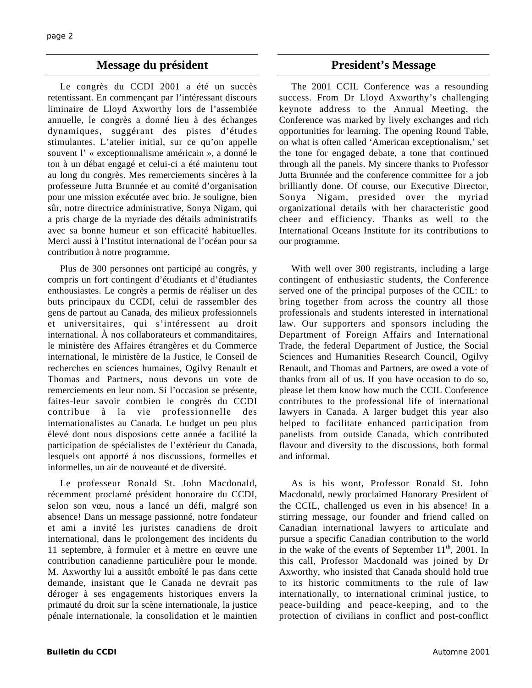# **Message du président du président du président du président du président du président du président du président du président du président du président du président du président du président du président du président du pr**

Le congrès du CCDI 2001 a été un succès retentissant. En commençant par l'intéressant discours liminaire de Lloyd Axworthy lors de l'assemblée annuelle, le congrès a donné lieu à des échanges dynamiques, suggérant des pistes d'études stimulantes. L'atelier initial, sur ce qu'on appelle souvent l' « exceptionnalisme américain », a donné le ton à un débat engagé et celui-ci a été maintenu tout au long du congrès. Mes remerciements sincères à la professeure Jutta Brunnée et au comité d'organisation pour une mission exécutée avec brio. Je souligne, bien sûr, notre directrice administrative, Sonya Nigam, qui a pris charge de la myriade des détails administratifs avec sa bonne humeur et son efficacité habituelles. Merci aussi à l'Institut international de l'océan pour sa contribution à notre programme.

Plus de 300 personnes ont participé au congrès, y compris un fort contingent d'étudiants et d'étudiantes enthousiastes. Le congrès a permis de réaliser un des buts principaux du CCDI, celui de rassembler des gens de partout au Canada, des milieux professionnels et universitaires, qui s'intéressent au droit international. À nos collaborateurs et commanditaires, le ministère des Affaires étrangères et du Commerce international, le ministère de la Justice, le Conseil de recherches en sciences humaines, Ogilvy Renault et Thomas and Partners, nous devons un vote de remerciements en leur nom. Si l'occasion se présente, faites-leur savoir combien le congrès du CCDI contribue à la vie professionnelle des internationalistes au Canada. Le budget un peu plus élevé dont nous disposions cette année a facilité la participation de spécialistes de l'extérieur du Canada, lesquels ont apporté à nos discussions, formelles et informelles, un air de nouveauté et de diversité.

Le professeur Ronald St. John Macdonald, récemment proclamé président honoraire du CCDI, selon son vœu, nous a lancé un défi, malgré son absence! Dans un message passionné, notre fondateur et ami a invité les juristes canadiens de droit international, dans le prolongement des incidents du 11 septembre, à formuler et à mettre en œuvre une contribution canadienne particulière pour le monde. M. Axworthy lui a aussitôt emboîté le pas dans cette demande, insistant que le Canada ne devrait pas déroger à ses engagements historiques envers la primauté du droit sur la scène internationale, la justice pénale internationale, la consolidation et le maintien

The 2001 CCIL Conference was a resounding success. From Dr Lloyd Axworthy's challenging keynote address to the Annual Meeting, the Conference was marked by lively exchanges and rich opportunities for learning. The opening Round Table, on what is often called 'American exceptionalism,' set the tone for engaged debate, a tone that continued through all the panels. My sincere thanks to Professor Jutta Brunnée and the conference committee for a job brilliantly done. Of course, our Executive Director, Sonya Nigam, presided over the myriad organizational details with her characteristic good cheer and efficiency. Thanks as well to the International Oceans Institute for its contributions to our programme.

With well over 300 registrants, including a large contingent of enthusiastic students, the Conference served one of the principal purposes of the CCIL: to bring together from across the country all those professionals and students interested in international law. Our supporters and sponsors including the Department of Foreign Affairs and International Trade, the federal Department of Justice, the Social Sciences and Humanities Research Council, Ogilvy Renault, and Thomas and Partners, are owed a vote of thanks from all of us. If you have occasion to do so, please let them know how much the CCIL Conference contributes to the professional life of international lawyers in Canada. A larger budget this year also helped to facilitate enhanced participation from panelists from outside Canada, which contributed flavour and diversity to the discussions, both formal and informal.

As is his wont, Professor Ronald St. John Macdonald, newly proclaimed Honorary President of the CCIL, challenged us even in his absence! In a stirring message, our founder and friend called on Canadian international lawyers to articulate and pursue a specific Canadian contribution to the world in the wake of the events of September  $11<sup>th</sup>$ , 2001. In this call, Professor Macdonald was joined by Dr Axworthy, who insisted that Canada should hold true to its historic commitments to the rule of law internationally, to international criminal justice, to peace-building and peace-keeping, and to the protection of civilians in conflict and post-conflict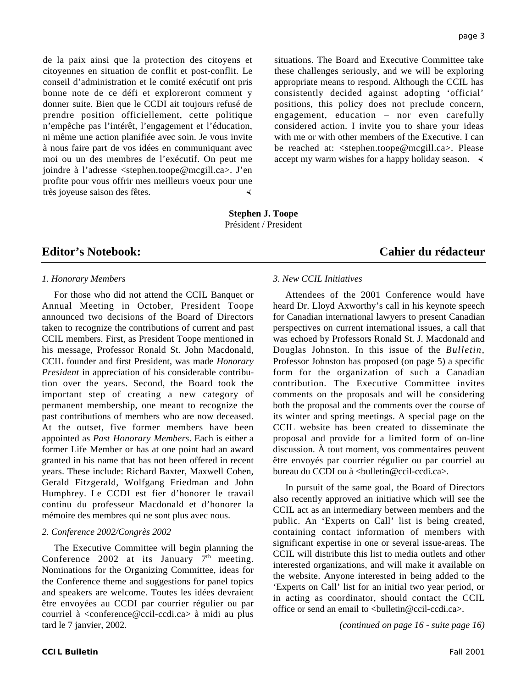de la paix ainsi que la protection des citoyens et citoyennes en situation de conflit et post-conflit. Le conseil d'administration et le comité exécutif ont pris bonne note de ce défi et exploreront comment y donner suite. Bien que le CCDI ait toujours refusé de prendre position officiellement, cette politique n'empêche pas l'intérêt, l'engagement et l'éducation, ni même une action planifiée avec soin. Je vous invite à nous faire part de vos idées en communiquant avec moi ou un des membres de l'exécutif. On peut me joindre à l'adresse <stephen.toope@mcgill.ca>. J'en profite pour vous offrir mes meilleurs voeux pour une très joyeuse saison des fêtes.

situations. The Board and Executive Committee take these challenges seriously, and we will be exploring appropriate means to respond. Although the CCIL has consistently decided against adopting 'official' positions, this policy does not preclude concern, engagement, education – nor even carefully considered action. I invite you to share your ideas with me or with other members of the Executive. I can be reached at: <stephen.toope@mcgill.ca>. Please accept my warm wishes for a happy holiday season.  $\triangleleft$ 

**Stephen J. Toope** Président / President

# **Editor's Notebook: Cahier du rédacteur**

## *1. Honorary Members*

For those who did not attend the CCIL Banquet or Annual Meeting in October, President Toope announced two decisions of the Board of Directors taken to recognize the contributions of current and past CCIL members. First, as President Toope mentioned in his message, Professor Ronald St. John Macdonald, CCIL founder and first President, was made *Honorary President* in appreciation of his considerable contribution over the years. Second, the Board took the important step of creating a new category of permanent membership, one meant to recognize the past contributions of members who are now deceased. At the outset, five former members have been appointed as *Past Honorary Members*. Each is either a former Life Member or has at one point had an award granted in his name that has not been offered in recent years. These include: Richard Baxter, Maxwell Cohen, Gerald Fitzgerald, Wolfgang Friedman and John Humphrey. Le CCDI est fier d'honorer le travail continu du professeur Macdonald et d'honorer la mémoire des membres qui ne sont plus avec nous.

### *2. Conference 2002/Congrès 2002*

The Executive Committee will begin planning the Conference 2002 at its January  $7<sup>th</sup>$  meeting. Nominations for the Organizing Committee, ideas for the Conference theme and suggestions for panel topics and speakers are welcome. Toutes les idées devraient être envoyées au CCDI par courrier régulier ou par courriel à <conference@ccil-ccdi.ca> à midi au plus tard le 7 janvier, 2002.

#### *3. New CCIL Initiatives*

Attendees of the 2001 Conference would have heard Dr. Lloyd Axworthy's call in his keynote speech for Canadian international lawyers to present Canadian perspectives on current international issues, a call that was echoed by Professors Ronald St. J. Macdonald and Douglas Johnston. In this issue of the *Bulletin*, Professor Johnston has proposed (on page 5) a specific form for the organization of such a Canadian contribution. The Executive Committee invites comments on the proposals and will be considering both the proposal and the comments over the course of its winter and spring meetings. A special page on the CCIL website has been created to disseminate the proposal and provide for a limited form of on-line discussion. À tout moment, vos commentaires peuvent être envoyés par courrier régulier ou par courriel au bureau du CCDI ou à <br/> <br/>bulletin@ccil-ccdi.ca>.

In pursuit of the same goal, the Board of Directors also recently approved an initiative which will see the CCIL act as an intermediary between members and the public. An 'Experts on Call' list is being created, containing contact information of members with significant expertise in one or several issue-areas. The CCIL will distribute this list to media outlets and other interested organizations, and will make it available on the website. Anyone interested in being added to the 'Experts on Call' list for an initial two year period, or in acting as coordinator, should contact the CCIL office or send an email to  $\langle$ bulletin@ccil-ccdi.ca $\rangle$ .

*(continued on page 16 - suite page 16)*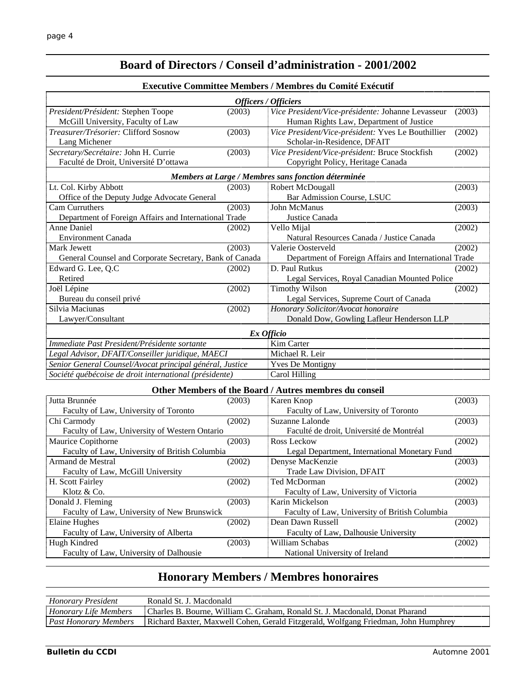# **Board of Directors / Conseil d'administration - 2001/2002**

#### **Executive Committee Members / Membres du Comité Exécutif**

| Officers / Officiers                                     |            |                                                       |        |  |  |
|----------------------------------------------------------|------------|-------------------------------------------------------|--------|--|--|
| President/Président: Stephen Toope                       | (2003)     | Vice President/Vice-présidente: Johanne Levasseur     | (2003) |  |  |
| McGill University, Faculty of Law                        |            | Human Rights Law, Department of Justice               |        |  |  |
| Treasurer/Trésorier: Clifford Sosnow                     | (2003)     | Vice President/Vice-président: Yves Le Bouthillier    | (2002) |  |  |
| Lang Michener                                            |            | Scholar-in-Residence, DFAIT                           |        |  |  |
| Secretary/Secrétaire: John H. Currie                     | (2003)     | Vice President/Vice-président: Bruce Stockfish        | (2002) |  |  |
| Faculté de Droit, Université D'ottawa                    |            | Copyright Policy, Heritage Canada                     |        |  |  |
|                                                          |            | Members at Large / Membres sans fonction déterminée   |        |  |  |
| Lt. Col. Kirby Abbott                                    | (2003)     | Robert McDougall                                      | (2003) |  |  |
| Office of the Deputy Judge Advocate General              |            | Bar Admission Course, LSUC                            |        |  |  |
| Cam Curruthers                                           | (2003)     | John McManus                                          | (2003) |  |  |
| Department of Foreign Affairs and International Trade    |            | Justice Canada                                        |        |  |  |
| <b>Anne Daniel</b>                                       | (2002)     | Vello Mijal                                           | (2002) |  |  |
| <b>Environment Canada</b>                                |            | Natural Resources Canada / Justice Canada             |        |  |  |
| Mark Jewett                                              | (2003)     | Valerie Oosterveld                                    | (2002) |  |  |
| General Counsel and Corporate Secretary, Bank of Canada  |            | Department of Foreign Affairs and International Trade |        |  |  |
| Edward G. Lee, Q.C                                       | (2002)     | D. Paul Rutkus                                        | (2002) |  |  |
| Retired                                                  |            | Legal Services, Royal Canadian Mounted Police         |        |  |  |
| Joël Lépine                                              | (2002)     | <b>Timothy Wilson</b>                                 | (2002) |  |  |
| Bureau du conseil privé                                  |            | Legal Services, Supreme Court of Canada               |        |  |  |
| Silvia Maciunas                                          | (2002)     | Honorary Solicitor/Avocat honoraire                   |        |  |  |
| Lawyer/Consultant                                        |            | Donald Dow, Gowling Lafleur Henderson LLP             |        |  |  |
|                                                          | Ex Officio |                                                       |        |  |  |
| Immediate Past President/Présidente sortante             |            | Kim Carter                                            |        |  |  |
| Legal Advisor, DFAIT/Conseiller juridique, MAECI         |            | Michael R. Leir                                       |        |  |  |
| Senior General Counsel/Avocat principal général, Justice |            | <b>Yves De Montigny</b>                               |        |  |  |
| Société québécoise de droit international (présidente)   |            | Carol Hilling                                         |        |  |  |
| Other Members of the Board / Autres membres du conseil   |            |                                                       |        |  |  |
| $L, H, D, m, m, \lambda, \lambda$                        | ിവറ        | $V$ and $V$ and                                       | (2002) |  |  |

| Jutta Brunnée                                  | (2003) | Karen Knop                                     | (2003) |  |
|------------------------------------------------|--------|------------------------------------------------|--------|--|
| Faculty of Law, University of Toronto          |        | Faculty of Law, University of Toronto          |        |  |
| Chi Carmody                                    | (2002) | Suzanne Lalonde                                | (2003) |  |
| Faculty of Law, University of Western Ontario  |        | Faculté de droit, Université de Montréal       |        |  |
| Maurice Copithorne                             | (2003) | Ross Leckow                                    | (2002) |  |
| Faculty of Law, University of British Columbia |        | Legal Department, International Monetary Fund  |        |  |
| Armand de Mestral                              | (2002) | Denyse MacKenzie                               | (2003) |  |
| Faculty of Law, McGill University              |        | Trade Law Division, DFAIT                      |        |  |
| H. Scott Fairley                               | (2002) | Ted McDorman                                   | (2002) |  |
| Klotz $& Co.$                                  |        | Faculty of Law, University of Victoria         |        |  |
| Donald J. Fleming                              | (2003) | Karin Mickelson                                | (2003) |  |
| Faculty of Law, University of New Brunswick    |        | Faculty of Law, University of British Columbia |        |  |
| Elaine Hughes                                  | (2002) | Dean Dawn Russell                              | (2002) |  |
| Faculty of Law, University of Alberta          |        | Faculty of Law, Dalhousie University           |        |  |
| Hugh Kindred                                   | (2003) | William Schabas                                | (2002) |  |
| Faculty of Law, University of Dalhousie        |        | National University of Ireland                 |        |  |

# **Honorary Members / Membres honoraires**

| 0.010                         | Tharloc.<br>William<br>. Ronald 1<br>∵raham<br>Macdona:<br>$\sim$ $\sim$ $\sim$<br>⊟∩nat    |
|-------------------------------|---------------------------------------------------------------------------------------------|
| $D_{\alpha\alpha}$<br>Mempers | <b>Dichard</b><br>$W_0$ $\epsilon$<br>, ierald<br>∴ohen<br>lohn.<br>∤ Friedman<br>Maxwell L |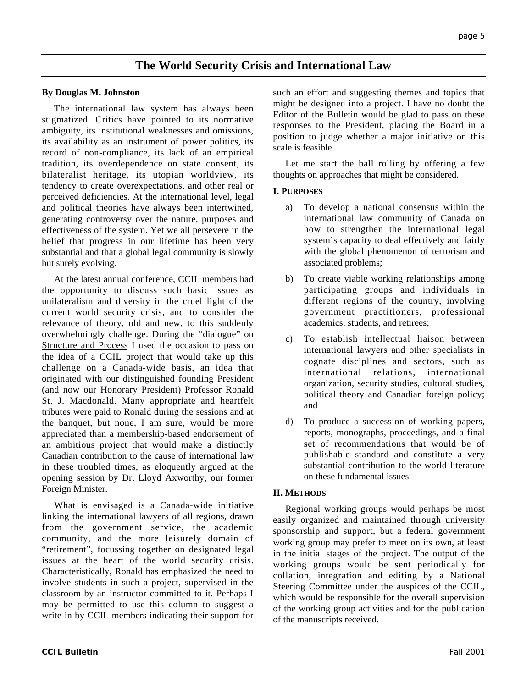# **The World Security Crisis and International Law**

## **By Douglas M. Johnston**

The international law system has always been stigmatized. Critics have pointed to its normative ambiguity, its institutional weaknesses and omissions, its availability as an instrument of power politics, its record of non-compliance, its lack of an empirical tradition, its overdependence on state consent, its bilateralist heritage, its utopian worldview, its tendency to create overexpectations, and other real or perceived deficiencies. At the international level, legal and political theories have always been intertwined, generating controversy over the nature, purposes and effectiveness of the system. Yet we all persevere in the belief that progress in our lifetime has been very substantial and that a global legal community is slowly but surely evolving.

At the latest annual conference, CCIL members had the opportunity to discuss such basic issues as unilateralism and diversity in the cruel light of the current world security crisis, and to consider the relevance of theory, old and new, to this suddenly overwhelmingly challenge. During the "dialogue" on Structure and Process I used the occasion to pass on the idea of a CCIL project that would take up this challenge on a Canada-wide basis, an idea that originated with our distinguished founding President (and now our Honorary President) Professor Ronald St. J. Macdonald. Many appropriate and heartfelt tributes were paid to Ronald during the sessions and at the banquet, but none, I am sure, would be more appreciated than a membership-based endorsement of an ambitious project that would make a distinctly Canadian contribution to the cause of international law in these troubled times, as eloquently argued at the opening session by Dr. Lloyd Axworthy, our former Foreign Minister.

What is envisaged is a Canada-wide initiative linking the international lawyers of all regions, drawn from the government service, the academic community, and the more leisurely domain of "retirement", focussing together on designated legal issues at the heart of the world security crisis. Characteristically, Ronald has emphasized the need to involve students in such a project, supervised in the classroom by an instructor committed to it. Perhaps I may be permitted to use this column to suggest a write-in by CCIL members indicating their support for such an effort and suggesting themes and topics that might be designed into a project. I have no doubt the Editor of the Bulletin would be glad to pass on these responses to the President, placing the Board in a position to judge whether a major initiative on this scale is feasible.

Let me start the ball rolling by offering a few thoughts on approaches that might be considered.

## **I. PURPOSES**

- a) To develop a national consensus within the international law community of Canada on how to strengthen the international legal system's capacity to deal effectively and fairly with the global phenomenon of terrorism and associated problems;
- b) To create viable working relationships among participating groups and individuals in different regions of the country, involving government practitioners, professional academics, students, and retirees;
- c) To establish intellectual liaison between international lawyers and other specialists in cognate disciplines and sectors, such as international relations, international organization, security studies, cultural studies, political theory and Canadian foreign policy; and
- d) To produce a succession of working papers, reports, monographs, proceedings, and a final set of recommendations that would be of publishable standard and constitute a very substantial contribution to the world literature on these fundamental issues.

## **II. METHODS**

Regional working groups would perhaps be most easily organized and maintained through university sponsorship and support, but a federal government working group may prefer to meet on its own, at least in the initial stages of the project. The output of the working groups would be sent periodically for collation, integration and editing by a National Steering Committee under the auspices of the CCIL, which would be responsible for the overall supervision of the working group activities and for the publication of the manuscripts received.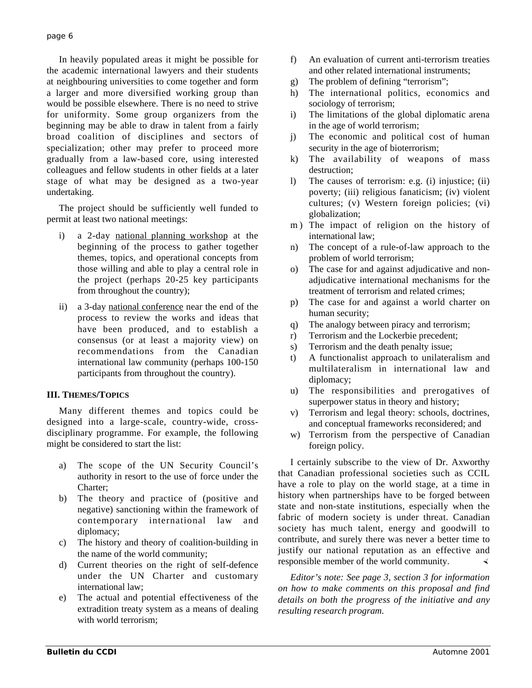In heavily populated areas it might be possible for the academic international lawyers and their students at neighbouring universities to come together and form a larger and more diversified working group than would be possible elsewhere. There is no need to strive for uniformity. Some group organizers from the beginning may be able to draw in talent from a fairly broad coalition of disciplines and sectors of specialization; other may prefer to proceed more gradually from a law-based core, using interested colleagues and fellow students in other fields at a later stage of what may be designed as a two-year undertaking.

The project should be sufficiently well funded to permit at least two national meetings:

- i) a 2-day national planning workshop at the beginning of the process to gather together themes, topics, and operational concepts from those willing and able to play a central role in the project (perhaps 20-25 key participants from throughout the country);
- ii) a 3-day national conference near the end of the process to review the works and ideas that have been produced, and to establish a consensus (or at least a majority view) on recommendations from the Canadian international law community (perhaps 100-150 participants from throughout the country).

## **III. THEMES/TOPICS**

Many different themes and topics could be designed into a large-scale, country-wide, crossdisciplinary programme. For example, the following might be considered to start the list:

- a) The scope of the UN Security Council's authority in resort to the use of force under the Charter;
- b) The theory and practice of (positive and negative) sanctioning within the framework of contemporary international law and diplomacy;
- c) The history and theory of coalition-building in the name of the world community;
- d) Current theories on the right of self-defence under the UN Charter and customary international law;
- e) The actual and potential effectiveness of the extradition treaty system as a means of dealing with world terrorism;
- f) An evaluation of current anti-terrorism treaties and other related international instruments;
- g) The problem of defining "terrorism";
- h) The international politics, economics and sociology of terrorism;
- i) The limitations of the global diplomatic arena in the age of world terrorism;
- j) The economic and political cost of human security in the age of bioterrorism;
- k) The availability of weapons of mass destruction;
- l) The causes of terrorism: e.g. (i) injustice; (ii) poverty; (iii) religious fanaticism; (iv) violent cultures; (v) Western foreign policies; (vi) globalization;
- m) The impact of religion on the history of international law;
- n) The concept of a rule-of-law approach to the problem of world terrorism;
- o) The case for and against adjudicative and nonadjudicative international mechanisms for the treatment of terrorism and related crimes;
- p) The case for and against a world charter on human security;
- q) The analogy between piracy and terrorism;
- r) Terrorism and the Lockerbie precedent;
- s) Terrorism and the death penalty issue;
- t) A functionalist approach to unilateralism and multilateralism in international law and diplomacy;
- u) The responsibilities and prerogatives of superpower status in theory and history;
- v) Terrorism and legal theory: schools, doctrines, and conceptual frameworks reconsidered; and
- w) Terrorism from the perspective of Canadian foreign policy.

I certainly subscribe to the view of Dr. Axworthy that Canadian professional societies such as CCIL have a role to play on the world stage, at a time in history when partnerships have to be forged between state and non-state institutions, especially when the fabric of modern society is under threat. Canadian society has much talent, energy and goodwill to contribute, and surely there was never a better time to justify our national reputation as an effective and responsible member of the world community.

*Editor's note: See page 3, section 3 for information on how to make comments on this proposal and find details on both the progress of the initiative and any resulting research program.*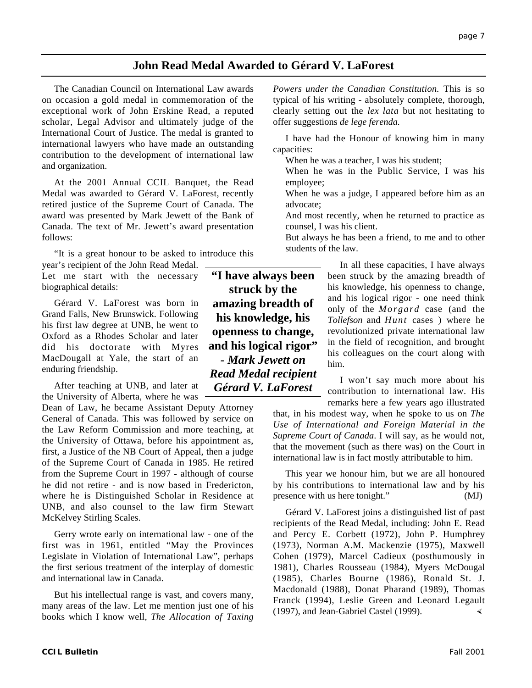# **John Read Medal Awarded to Gérard V. LaForest**

The Canadian Council on International Law awards on occasion a gold medal in commemoration of the exceptional work of John Erskine Read, a reputed scholar, Legal Advisor and ultimately judge of the International Court of Justice. The medal is granted to international lawyers who have made an outstanding contribution to the development of international law and organization.

At the 2001 Annual CCIL Banquet, the Read Medal was awarded to Gérard V. LaForest, recently retired justice of the Supreme Court of Canada. The award was presented by Mark Jewett of the Bank of Canada. The text of Mr. Jewett's award presentation follows:

"It is a great honour to be asked to introduce this

year's recipient of the John Read Medal. Let me start with the necessary biographical details:

Gérard V. LaForest was born in Grand Falls, New Brunswick. Following his first law degree at UNB, he went to Oxford as a Rhodes Scholar and later did his doctorate with Myres MacDougall at Yale, the start of an enduring friendship.

After teaching at UNB, and later at the University of Alberta, where he was

Dean of Law, he became Assistant Deputy Attorney General of Canada. This was followed by service on the Law Reform Commission and more teaching, at the University of Ottawa, before his appointment as, first, a Justice of the NB Court of Appeal, then a judge of the Supreme Court of Canada in 1985. He retired from the Supreme Court in 1997 - although of course he did not retire - and is now based in Fredericton, where he is Distinguished Scholar in Residence at UNB, and also counsel to the law firm Stewart McKelvey Stirling Scales.

Gerry wrote early on international law - one of the first was in 1961, entitled "May the Provinces Legislate in Violation of International Law", perhaps the first serious treatment of the interplay of domestic and international law in Canada.

But his intellectual range is vast, and covers many, many areas of the law. Let me mention just one of his books which I know well, *The Allocation of Taxing*

**"I have always been struck by the amazing breadth of his knowledge, his openness to change, and his logical rigor"** *- Mark Jewett on Read Medal recipient Gérard V. LaForest*

*Powers under the Canadian Constitution.* This is so typical of his writing - absolutely complete, thorough, clearly setting out the *lex lata* but not hesitating to offer suggestions *de lege ferenda.*

I have had the Honour of knowing him in many capacities:

When he was a teacher, I was his student;

When he was in the Public Service, I was his employee;

When he was a judge, I appeared before him as an advocate;

And most recently, when he returned to practice as counsel, I was his client.

But always he has been a friend, to me and to other students of the law.

> In all these capacities, I have always been struck by the amazing breadth of his knowledge, his openness to change, and his logical rigor - one need think only of the *Morgard* case (and the *Tollefson* and *Hunt* cases ) where he revolutionized private international law in the field of recognition, and brought his colleagues on the court along with him.

> I won't say much more about his contribution to international law. His remarks here a few years ago illustrated

that, in his modest way, when he spoke to us on *The Use of International and Foreign Material in the Supreme Court of Canada*. I will say, as he would not, that the movement (such as there was) on the Court in international law is in fact mostly attributable to him.

This year we honour him, but we are all honoured by his contributions to international law and by his presence with us here tonight." (MJ)

Gérard V. LaForest joins a distinguished list of past recipients of the Read Medal, including: John E. Read and Percy E. Corbett (1972), John P. Humphrey (1973), Norman A.M. Mackenzie (1975), Maxwell Cohen (1979), Marcel Cadieux (posthumously in 1981), Charles Rousseau (1984), Myers McDougal (1985), Charles Bourne (1986), Ronald St. J. Macdonald (1988), Donat Pharand (1989), Thomas Franck (1994), Leslie Green and Leonard Legault (1997), and Jean-Gabriel Castel (1999).  $\triangleleft$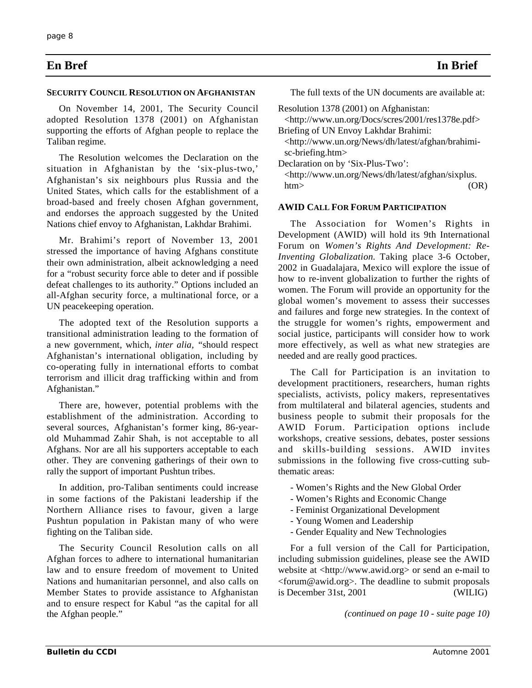# **En Bref In Brief**

#### **SECURITY COUNCIL RESOLUTION ON AFGHANISTAN**

On November 14, 2001, The Security Council adopted Resolution 1378 (2001) on Afghanistan supporting the efforts of Afghan people to replace the Taliban regime.

The Resolution welcomes the Declaration on the situation in Afghanistan by the 'six-plus-two,' Afghanistan's six neighbours plus Russia and the United States, which calls for the establishment of a broad-based and freely chosen Afghan government, and endorses the approach suggested by the United Nations chief envoy to Afghanistan, Lakhdar Brahimi.

Mr. Brahimi's report of November 13, 2001 stressed the importance of having Afghans constitute their own administration, albeit acknowledging a need for a "robust security force able to deter and if possible defeat challenges to its authority." Options included an all-Afghan security force, a multinational force, or a UN peacekeeping operation.

The adopted text of the Resolution supports a transitional administration leading to the formation of a new government, which, *inter alia, "*should respect Afghanistan's international obligation, including by co-operating fully in international efforts to combat terrorism and illicit drag trafficking within and from Afghanistan."

There are, however, potential problems with the establishment of the administration. According to several sources*,* Afghanistan's former king, 86-yearold Muhammad Zahir Shah, is not acceptable to all Afghans. Nor are all his supporters acceptable to each other. They are convening gatherings of their own to rally the support of important Pushtun tribes.

In addition, pro-Taliban sentiments could increase in some factions of the Pakistani leadership if the Northern Alliance rises to favour, given a large Pushtun population in Pakistan many of who were fighting on the Taliban side.

The Security Council Resolution calls on all Afghan forces to adhere to international humanitarian law and to ensure freedom of movement to United Nations and humanitarian personnel, and also calls on Member States to provide assistance to Afghanistan and to ensure respect for Kabul "as the capital for all the Afghan people."

The full texts of the UN documents are available at:

Resolution 1378 (2001) on Afghanistan:

<http://www.un.org/Docs/scres/2001/res1378e.pdf> Briefing of UN Envoy Lakhdar Brahimi:

<http://www.un.org/News/dh/latest/afghan/brahimisc-briefing.htm>

Declaration on by 'Six-Plus-Two': <http://www.un.org/News/dh/latest/afghan/sixplus. htm>  $(OR)$ 

#### **AWID CALL FOR FORUM PARTICIPATION**

The Association for Women's Rights in Development (AWID) will hold its 9th International Forum on *Women's Rights And Development: Re-Inventing Globalization.* Taking place 3-6 October, 2002 in Guadalajara, Mexico will explore the issue of how to re-invent globalization to further the rights of women. The Forum will provide an opportunity for the global women's movement to assess their successes and failures and forge new strategies. In the context of the struggle for women's rights, empowerment and social justice, participants will consider how to work more effectively, as well as what new strategies are needed and are really good practices.

The Call for Participation is an invitation to development practitioners, researchers, human rights specialists, activists, policy makers, representatives from multilateral and bilateral agencies, students and business people to submit their proposals for the AWID Forum. Participation options include workshops, creative sessions, debates, poster sessions and skills-building sessions. AWID invites submissions in the following five cross-cutting subthematic areas:

- Women's Rights and the New Global Order
- Women's Rights and Economic Change
- Feminist Organizational Development
- Young Women and Leadership
- Gender Equality and New Technologies

For a full version of the Call for Participation, including submission guidelines, please see the AWID website at <http://www.awid.org> or send an e-mail to <forum@awid.org>. The deadline to submit proposals is December 31st, 2001 (WILIG)

*(continued on page 10 - suite page 10)*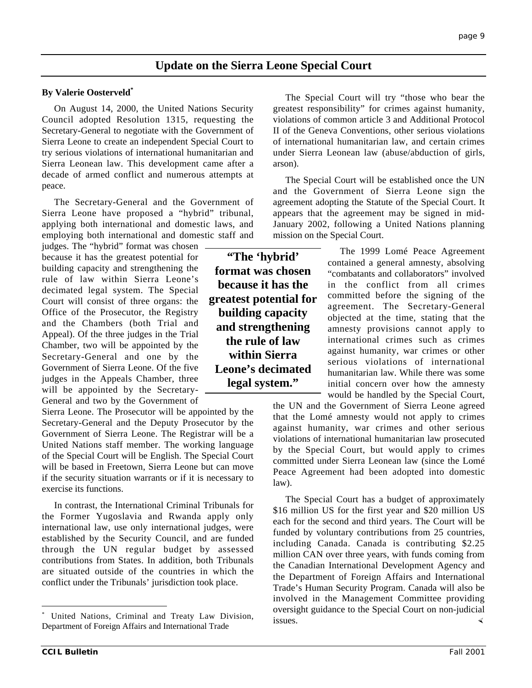# **Update on the Sierra Leone Special Court**

#### **By Valerie Oosterveld\***

On August 14, 2000, the United Nations Security Council adopted Resolution 1315, requesting the Secretary-General to negotiate with the Government of Sierra Leone to create an independent Special Court to try serious violations of international humanitarian and Sierra Leonean law. This development came after a decade of armed conflict and numerous attempts at peace.

The Secretary-General and the Government of Sierra Leone have proposed a "hybrid" tribunal, applying both international and domestic laws, and employing both international and domestic staff and

judges. The "hybrid" format was chosen because it has the greatest potential for building capacity and strengthening the rule of law within Sierra Leone's decimated legal system. The Special Court will consist of three organs: the Office of the Prosecutor, the Registry and the Chambers (both Trial and Appeal). Of the three judges in the Trial Chamber, two will be appointed by the Secretary-General and one by the Government of Sierra Leone. Of the five judges in the Appeals Chamber, three will be appointed by the Secretary-General and two by the Government of

Sierra Leone. The Prosecutor will be appointed by the Secretary-General and the Deputy Prosecutor by the Government of Sierra Leone. The Registrar will be a United Nations staff member. The working language of the Special Court will be English. The Special Court will be based in Freetown, Sierra Leone but can move if the security situation warrants or if it is necessary to exercise its functions.

In contrast, the International Criminal Tribunals for the Former Yugoslavia and Rwanda apply only international law, use only international judges, were established by the Security Council, and are funded through the UN regular budget by assessed contributions from States. In addition, both Tribunals are situated outside of the countries in which the conflict under the Tribunals' jurisdiction took place.

**"The 'hybrid' format was chosen because it has the greatest potential for building capacity and strengthening the rule of law within Sierra Leone's decimated legal system."**

The Special Court will try "those who bear the greatest responsibility" for crimes against humanity, violations of common article 3 and Additional Protocol II of the Geneva Conventions, other serious violations of international humanitarian law, and certain crimes under Sierra Leonean law (abuse/abduction of girls, arson).

The Special Court will be established once the UN and the Government of Sierra Leone sign the agreement adopting the Statute of the Special Court. It appears that the agreement may be signed in mid-January 2002, following a United Nations planning mission on the Special Court.

> The 1999 Lomé Peace Agreement contained a general amnesty, absolving "combatants and collaborators" involved in the conflict from all crimes committed before the signing of the agreement. The Secretary-General objected at the time, stating that the amnesty provisions cannot apply to international crimes such as crimes against humanity, war crimes or other serious violations of international humanitarian law. While there was some initial concern over how the amnesty would be handled by the Special Court,

the UN and the Government of Sierra Leone agreed that the Lomé amnesty would not apply to crimes against humanity, war crimes and other serious violations of international humanitarian law prosecuted by the Special Court, but would apply to crimes committed under Sierra Leonean law (since the Lomé Peace Agreement had been adopted into domestic law).

The Special Court has a budget of approximately \$16 million US for the first year and \$20 million US each for the second and third years. The Court will be funded by voluntary contributions from 25 countries, including Canada. Canada is contributing \$2.25 million CAN over three years, with funds coming from the Canadian International Development Agency and the Department of Foreign Affairs and International Trade's Human Security Program. Canada will also be involved in the Management Committee providing oversight guidance to the Special Court on non-judicial issues.  $\triangleleft$ 

 <sup>\*</sup> United Nations, Criminal and Treaty Law Division, Department of Foreign Affairs and International Trade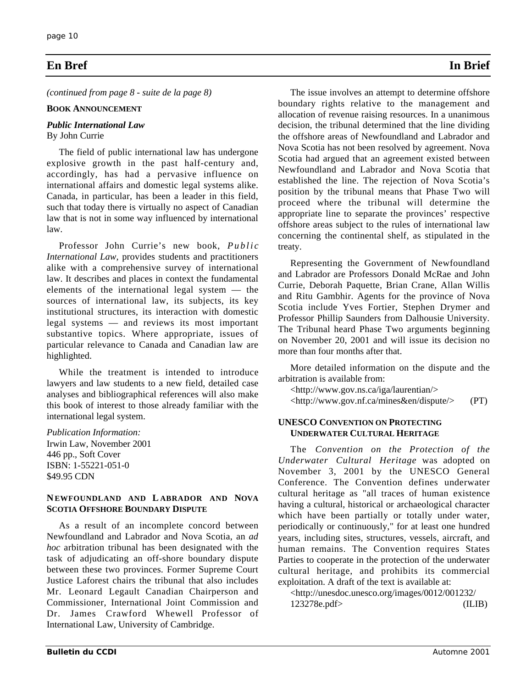# **En Bref In Brief**

*(continued from page 8 - suite de la page 8)*

#### **BOOK ANNOUNCEMENT**

#### *Public International Law* By John Currie

The field of public international law has undergone explosive growth in the past half-century and, accordingly, has had a pervasive influence on international affairs and domestic legal systems alike. Canada, in particular, has been a leader in this field, such that today there is virtually no aspect of Canadian law that is not in some way influenced by international law.

Professor John Currie's new book, *Public International Law,* provides students and practitioners alike with a comprehensive survey of international law. It describes and places in context the fundamental elements of the international legal system — the sources of international law, its subjects, its key institutional structures, its interaction with domestic legal systems — and reviews its most important substantive topics. Where appropriate, issues of particular relevance to Canada and Canadian law are highlighted.

While the treatment is intended to introduce lawyers and law students to a new field, detailed case analyses and bibliographical references will also make this book of interest to those already familiar with the international legal system.

*Publication Information:*

Irwin Law, November 2001 446 pp., Soft Cover ISBN: 1-55221-051-0 \$49.95 CDN

#### **NEWFOUNDLAND AND L ABRADOR AND NOVA SCOTIA OFFSHORE BOUNDARY DISPUTE**

As a result of an incomplete concord between Newfoundland and Labrador and Nova Scotia, an *ad hoc* arbitration tribunal has been designated with the task of adjudicating an off-shore boundary dispute between these two provinces. Former Supreme Court Justice Laforest chairs the tribunal that also includes Mr. Leonard Legault Canadian Chairperson and Commissioner, International Joint Commission and Dr. James Crawford Whewell Professor of International Law, University of Cambridge.

The issue involves an attempt to determine offshore boundary rights relative to the management and allocation of revenue raising resources. In a unanimous decision, the tribunal determined that the line dividing the offshore areas of Newfoundland and Labrador and Nova Scotia has not been resolved by agreement. Nova Scotia had argued that an agreement existed between Newfoundland and Labrador and Nova Scotia that established the line. The rejection of Nova Scotia's position by the tribunal means that Phase Two will proceed where the tribunal will determine the appropriate line to separate the provinces' respective offshore areas subject to the rules of international law concerning the continental shelf, as stipulated in the treaty.

Representing the Government of Newfoundland and Labrador are Professors Donald McRae and John Currie, Deborah Paquette, Brian Crane, Allan Willis and Ritu Gambhir. Agents for the province of Nova Scotia include Yves Fortier, Stephen Drymer and Professor Phillip Saunders from Dalhousie University. The Tribunal heard Phase Two arguments beginning on November 20, 2001 and will issue its decision no more than four months after that.

More detailed information on the dispute and the arbitration is available from:

<http://www.gov.ns.ca/iga/laurentian/>

<http://www.gov.nf.ca/mines&en/dispute/> (PT)

#### **UNESCO CONVENTION ON PROTECTING UNDERWATER CULTURAL HERITAGE**

The *Convention on the Protection of the Underwater Cultural Heritage* was adopted on November 3, 2001 by the UNESCO General Conference. The Convention defines underwater cultural heritage as "all traces of human existence having a cultural, historical or archaeological character which have been partially or totally under water, periodically or continuously," for at least one hundred years, including sites, structures, vessels, aircraft, and human remains. The Convention requires States Parties to cooperate in the protection of the underwater cultural heritage, and prohibits its commercial exploitation. A draft of the text is available at:

<http://unesdoc.unesco.org/images/0012/001232/ 123278e.pdf> (ILIB)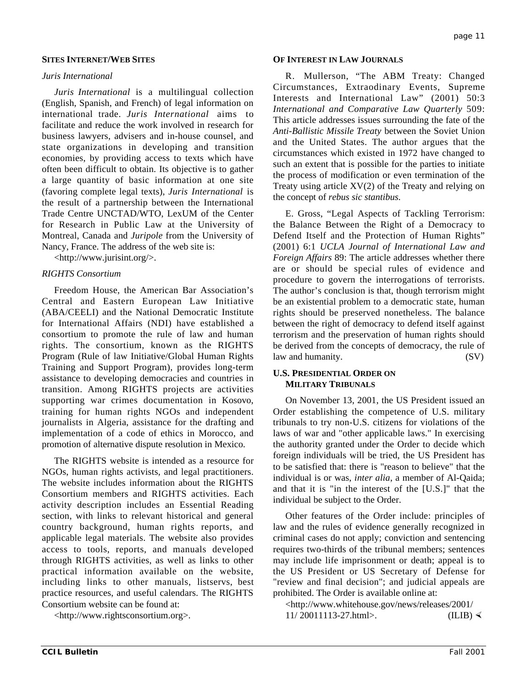### **SITES INTERNET/WEB SITES**

#### *Juris International*

*Juris International* is a multilingual collection (English, Spanish, and French) of legal information on international trade. *Juris International* aims to facilitate and reduce the work involved in research for business lawyers, advisers and in-house counsel, and state organizations in developing and transition economies, by providing access to texts which have often been difficult to obtain. Its objective is to gather a large quantity of basic information at one site (favoring complete legal texts), *Juris International* is the result of a partnership between the International Trade Centre UNCTAD/WTO, LexUM of the Center for Research in Public Law at the University of Montreal, Canada and *Juripole* from the University of Nancy, France. The address of the web site is:

<http://www.jurisint.org/>.

#### *RIGHTS Consortium*

Freedom House, the American Bar Association's Central and Eastern European Law Initiative (ABA/CEELI) and the National Democratic Institute for International Affairs (NDI) have established a consortium to promote the rule of law and human rights. The consortium, known as the RIGHTS Program (Rule of law Initiative/Global Human Rights Training and Support Program), provides long-term assistance to developing democracies and countries in transition. Among RIGHTS projects are activities supporting war crimes documentation in Kosovo, training for human rights NGOs and independent journalists in Algeria, assistance for the drafting and implementation of a code of ethics in Morocco, and promotion of alternative dispute resolution in Mexico.

The RIGHTS website is intended as a resource for NGOs, human rights activists, and legal practitioners. The website includes information about the RIGHTS Consortium members and RIGHTS activities. Each activity description includes an Essential Reading section, with links to relevant historical and general country background, human rights reports, and applicable legal materials. The website also provides access to tools, reports, and manuals developed through RIGHTS activities, as well as links to other practical information available on the website, including links to other manuals, listservs, best practice resources, and useful calendars. The RIGHTS Consortium website can be found at:

<http://www.rightsconsortium.org>.

#### **OF INTEREST IN LAW JOURNALS**

R. Mullerson, "The ABM Treaty: Changed Circumstances, Extraodinary Events, Supreme Interests and International Law" (2001) 50:3 *International and Comparative Law Quarterly* 509: This article addresses issues surrounding the fate of the *Anti-Ballistic Missile Treaty* between the Soviet Union and the United States. The author argues that the circumstances which existed in 1972 have changed to such an extent that is possible for the parties to initiate the process of modification or even termination of the Treaty using article XV(2) of the Treaty and relying on the concept of *rebus sic stantibus*.

E. Gross, "Legal Aspects of Tackling Terrorism: the Balance Between the Right of a Democracy to Defend Itself and the Protection of Human Rights" (2001) 6:1 *UCLA Journal of International Law and Foreign Affairs* 89: The article addresses whether there are or should be special rules of evidence and procedure to govern the interrogations of terrorists. The author's conclusion is that, though terrorism might be an existential problem to a democratic state, human rights should be preserved nonetheless. The balance between the right of democracy to defend itself against terrorism and the preservation of human rights should be derived from the concepts of democracy, the rule of law and humanity. (SV)

#### **U.S. PRESIDENTIAL ORDER ON MILITARY TRIBUNALS**

On November 13, 2001, the US President issued an Order establishing the competence of U.S. military tribunals to try non-U.S. citizens for violations of the laws of war and "other applicable laws." In exercising the authority granted under the Order to decide which foreign individuals will be tried, the US President has to be satisfied that: there is "reason to believe" that the individual is or was, *inter alia*, a member of Al-Qaida; and that it is "in the interest of the [U.S.]" that the individual be subject to the Order.

Other features of the Order include: principles of law and the rules of evidence generally recognized in criminal cases do not apply; conviction and sentencing requires two-thirds of the tribunal members; sentences may include life imprisonment or death; appeal is to the US President or US Secretary of Defense for "review and final decision"; and judicial appeals are prohibited. The Order is available online at:

<http://www.whitehouse.gov/news/releases/2001/  $11/ 20011113 - 27.$ html>. (ILIB)  $\triangleleft$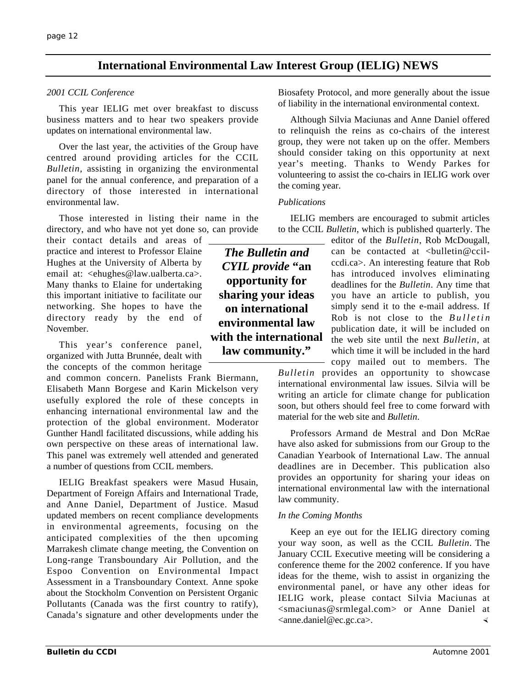# **International Environmental Law Interest Group (IELIG) NEWS**

### *2001 CCIL Conference*

This year IELIG met over breakfast to discuss business matters and to hear two speakers provide updates on international environmental law.

Over the last year, the activities of the Group have centred around providing articles for the CCIL *Bulletin*, assisting in organizing the environmental panel for the annual conference, and preparation of a directory of those interested in international environmental law.

Those interested in listing their name in the directory, and who have not yet done so, can provide

their contact details and areas of practice and interest to Professor Elaine Hughes at the University of Alberta by email at: <ehughes@law.ualberta.ca>. Many thanks to Elaine for undertaking this important initiative to facilitate our networking. She hopes to have the directory ready by the end of November.

This year's conference panel, organized with Jutta Brunnée, dealt with the concepts of the common heritage

and common concern. Panelists Frank Biermann, Elisabeth Mann Borgese and Karin Mickelson very usefully explored the role of these concepts in enhancing international environmental law and the protection of the global environment. Moderator Gunther Handl facilitated discussions, while adding his own perspective on these areas of international law. This panel was extremely well attended and generated a number of questions from CCIL members.

IELIG Breakfast speakers were Masud Husain, Department of Foreign Affairs and International Trade, and Anne Daniel, Department of Justice. Masud updated members on recent compliance developments in environmental agreements, focusing on the anticipated complexities of the then upcoming Marrakesh climate change meeting, the Convention on Long-range Transboundary Air Pollution, and the Espoo Convention on Environmental Impact Assessment in a Transboundary Context. Anne spoke about the Stockholm Convention on Persistent Organic Pollutants (Canada was the first country to ratify), Canada's signature and other developments under the

Biosafety Protocol, and more generally about the issue of liability in the international environmental context.

Although Silvia Maciunas and Anne Daniel offered to relinquish the reins as co-chairs of the interest group, they were not taken up on the offer. Members should consider taking on this opportunity at next year's meeting. Thanks to Wendy Parkes for volunteering to assist the co-chairs in IELIG work over the coming year.

### *Publications*

IELIG members are encouraged to submit articles to the CCIL *Bulletin*, which is published quarterly. The

*The Bulletin and CYIL provide* **"an opportunity for sharing your ideas on international environmental law with the international law community."**

editor of the *Bulletin*, Rob McDougall, can be contacted at <br/> <br/> <br/>dulletin@ccilccdi.ca>. An interesting feature that Rob has introduced involves eliminating deadlines for the *Bulletin*. Any time that you have an article to publish, you simply send it to the e-mail address. If Rob is not close to the *Bulletin* publication date, it will be included on the web site until the next *Bulletin*, at which time it will be included in the hard copy mailed out to members. The

*Bulletin* provides an opportunity to showcase international environmental law issues. Silvia will be writing an article for climate change for publication soon, but others should feel free to come forward with material for the web site and *Bulletin*.

Professors Armand de Mestral and Don McRae have also asked for submissions from our Group to the Canadian Yearbook of International Law. The annual deadlines are in December. This publication also provides an opportunity for sharing your ideas on international environmental law with the international law community.

### *In the Coming Months*

Keep an eye out for the IELIG directory coming your way soon, as well as the CCIL *Bulletin*. The January CCIL Executive meeting will be considering a conference theme for the 2002 conference. If you have ideas for the theme, wish to assist in organizing the environmental panel, or have any other ideas for IELIG work, please contact Silvia Maciunas at <smaciunas@srmlegal.com> or Anne Daniel at  $\langle$ anne.daniel@ec.gc.ca>.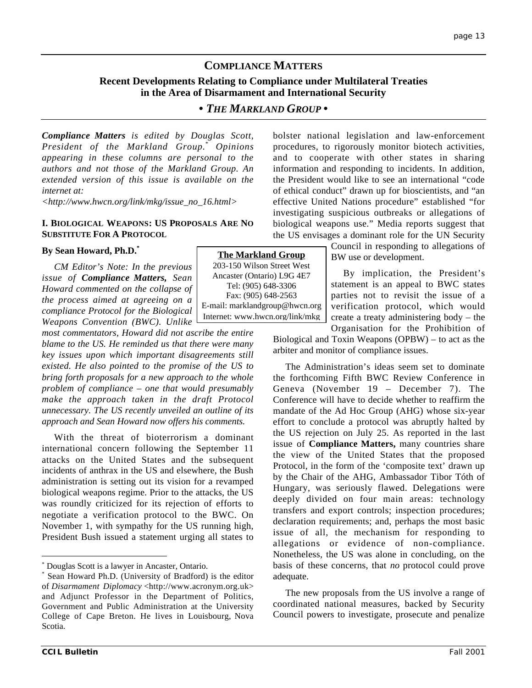# **COMPLIANCE MATTERS**

## **Recent Developments Relating to Compliance under Multilateral Treaties in the Area of Disarmament and International Security**

# *• THE MARKLAND GROUP •*

*Compliance Matters is edited by Douglas Scott, President of the Markland Group.\* Opinions appearing in these columns are personal to the authors and not those of the Markland Group. An extended version of this issue is available on the internet at:*

*<http://www.hwcn.org/link/mkg/issue\_no\_16.html>*

#### **I. BIOLOGICAL WEAPONS: US PROPOSALS ARE NO SUBSTITUTE FOR A PROTOCOL**

#### **By Sean Howard, Ph.D.\***

*CM Editor's Note: In the previous issue of Compliance Matters, Sean Howard commented on the collapse of the process aimed at agreeing on a compliance Protocol for the Biological Weapons Convention (BWC). Unlike*

*most commentators, Howard did not ascribe the entire blame to the US. He reminded us that there were many key issues upon which important disagreements still existed. He also pointed to the promise of the US to bring forth proposals for a new approach to the whole problem of compliance – one that would presumably make the approach taken in the draft Protocol unnecessary. The US recently unveiled an outline of its approach and Sean Howard now offers his comments.*

With the threat of bioterrorism a dominant international concern following the September 11 attacks on the United States and the subsequent incidents of anthrax in the US and elsewhere, the Bush administration is setting out its vision for a revamped biological weapons regime. Prior to the attacks, the US was roundly criticized for its rejection of efforts to negotiate a verification protocol to the BWC. On November 1, with sympathy for the US running high, President Bush issued a statement urging all states to

bolster national legislation and law-enforcement procedures, to rigorously monitor biotech activities, and to cooperate with other states in sharing information and responding to incidents. In addition, the President would like to see an international "code of ethical conduct" drawn up for bioscientists, and "an effective United Nations procedure" established "for investigating suspicious outbreaks or allegations of biological weapons use." Media reports suggest that the US envisages a dominant role for the UN Security

> Council in responding to allegations of BW use or development.

By implication, the President's statement is an appeal to BWC states parties not to revisit the issue of a verification protocol, which would create a treaty administering body – the Organisation for the Prohibition of

Biological and Toxin Weapons (OPBW) – to act as the arbiter and monitor of compliance issues.

The Administration's ideas seem set to dominate the forthcoming Fifth BWC Review Conference in Geneva (November 19 – December 7). The Conference will have to decide whether to reaffirm the mandate of the Ad Hoc Group (AHG) whose six-year effort to conclude a protocol was abruptly halted by the US rejection on July 25. As reported in the last issue of **Compliance Matters,** many countries share the view of the United States that the proposed Protocol, in the form of the 'composite text' drawn up by the Chair of the AHG, Ambassador Tibor Tóth of Hungary, was seriously flawed. Delegations were deeply divided on four main areas: technology transfers and export controls; inspection procedures; declaration requirements; and, perhaps the most basic issue of all, the mechanism for responding to allegations or evidence of non-compliance. Nonetheless, the US was alone in concluding, on the basis of these concerns, that *no* protocol could prove adequate.

The new proposals from the US involve a range of coordinated national measures, backed by Security Council powers to investigate, prosecute and penalize

**The Markland Group** 203-150 Wilson Street West Ancaster (Ontario) L9G 4E7 Tel: (905) 648-3306 Fax: (905) 648-2563 E-mail: marklandgroup@hwcn.org Internet: www.hwcn.org/link/mkg

 <sup>\*</sup> Douglas Scott is a lawyer in Ancaster, Ontario.

<sup>\*</sup> Sean Howard Ph.D. (University of Bradford) is the editor of *Disarmament Diplomacy* <http://www.acronym.org.uk> and Adjunct Professor in the Department of Politics, Government and Public Administration at the University College of Cape Breton. He lives in Louisbourg, Nova Scotia.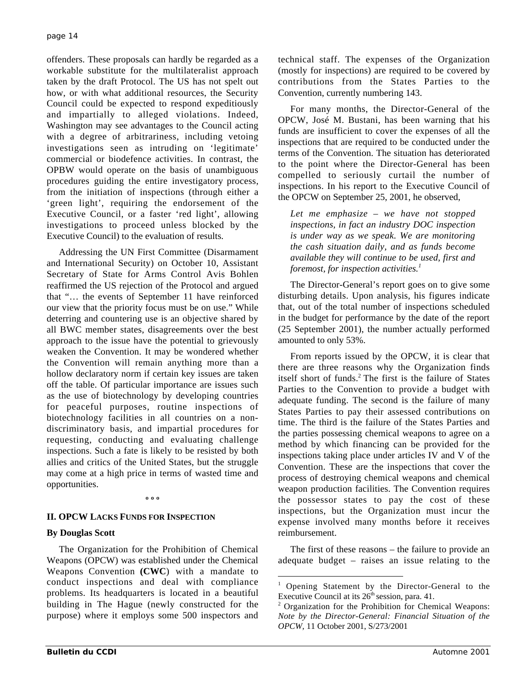offenders. These proposals can hardly be regarded as a workable substitute for the multilateralist approach taken by the draft Protocol. The US has not spelt out how, or with what additional resources, the Security Council could be expected to respond expeditiously and impartially to alleged violations. Indeed, Washington may see advantages to the Council acting with a degree of arbitrariness, including vetoing investigations seen as intruding on 'legitimate' commercial or biodefence activities. In contrast, the OPBW would operate on the basis of unambiguous procedures guiding the entire investigatory process, from the initiation of inspections (through either a 'green light', requiring the endorsement of the Executive Council, or a faster 'red light', allowing investigations to proceed unless blocked by the Executive Council) to the evaluation of results.

Addressing the UN First Committee (Disarmament and International Security) on October 10, Assistant Secretary of State for Arms Control Avis Bohlen reaffirmed the US rejection of the Protocol and argued that "… the events of September 11 have reinforced our view that the priority focus must be on use." While deterring and countering use is an objective shared by all BWC member states, disagreements over the best approach to the issue have the potential to grievously weaken the Convention. It may be wondered whether the Convention will remain anything more than a hollow declaratory norm if certain key issues are taken off the table. Of particular importance are issues such as the use of biotechnology by developing countries for peaceful purposes, routine inspections of biotechnology facilities in all countries on a nondiscriminatory basis, and impartial procedures for requesting, conducting and evaluating challenge inspections. Such a fate is likely to be resisted by both allies and critics of the United States, but the struggle may come at a high price in terms of wasted time and opportunities.

#### **º º º**

# **II. OPCW LACKS FUNDS FOR INSPECTION**

# **By Douglas Scott**

The Organization for the Prohibition of Chemical Weapons (OPCW) was established under the Chemical Weapons Convention **(CWC**) with a mandate to conduct inspections and deal with compliance problems. Its headquarters is located in a beautiful building in The Hague (newly constructed for the purpose) where it employs some 500 inspectors and

technical staff. The expenses of the Organization (mostly for inspections) are required to be covered by contributions from the States Parties to the Convention, currently numbering 143.

For many months, the Director-General of the OPCW, José M. Bustani, has been warning that his funds are insufficient to cover the expenses of all the inspections that are required to be conducted under the terms of the Convention. The situation has deteriorated to the point where the Director-General has been compelled to seriously curtail the number of inspections. In his report to the Executive Council of the OPCW on September 25, 2001, he observed,

*Let me emphasize* – *we have not stopped inspections, in fact an industry DOC inspection is under way as we speak. We are monitoring the cash situation daily, and as funds become available they will continue to be used, first and foremost, for inspection activities.<sup>1</sup>*

The Director-General's report goes on to give some disturbing details. Upon analysis, his figures indicate that, out of the total number of inspections scheduled in the budget for performance by the date of the report (25 September 2001), the number actually performed amounted to only 53%.

From reports issued by the OPCW, it is clear that there are three reasons why the Organization finds itself short of funds.<sup>2</sup> The first is the failure of States Parties to the Convention to provide a budget with adequate funding. The second is the failure of many States Parties to pay their assessed contributions on time. The third is the failure of the States Parties and the parties possessing chemical weapons to agree on a method by which financing can be provided for the inspections taking place under articles IV and V of the Convention. These are the inspections that cover the process of destroying chemical weapons and chemical weapon production facilities. The Convention requires the possessor states to pay the cost of these inspections, but the Organization must incur the expense involved many months before it receives reimbursement.

The first of these reasons – the failure to provide an adequate budget – raises an issue relating to the

 $\frac{1}{1}$ <sup>1</sup> Opening Statement by the Director-General to the Executive Council at its  $26<sup>th</sup>$  session, para. 41.

<sup>&</sup>lt;sup>2</sup> Organization for the Prohibition for Chemical Weapons: *Note by the Director-General: Financial Situation of the OPCW,* 11 October 2001, S/273/2001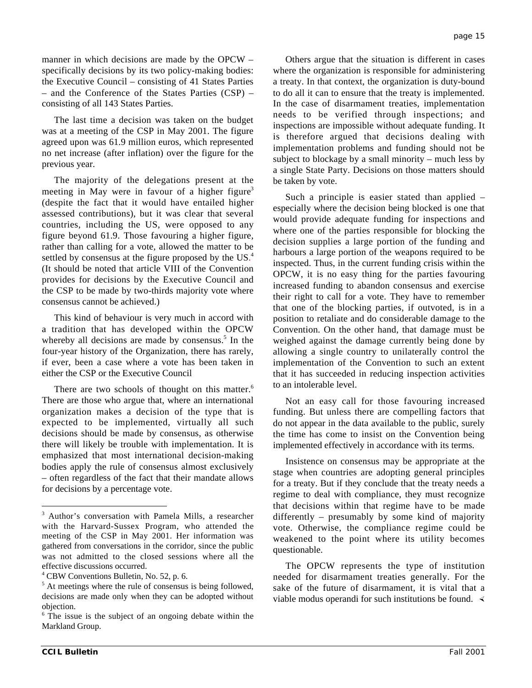manner in which decisions are made by the OPCW – specifically decisions by its two policy-making bodies: the Executive Council – consisting of 41 States Parties – and the Conference of the States Parties (CSP) – consisting of all 143 States Parties.

The last time a decision was taken on the budget was at a meeting of the CSP in May 2001. The figure agreed upon was 61.9 million euros, which represented no net increase (after inflation) over the figure for the previous year.

The majority of the delegations present at the meeting in May were in favour of a higher figure<sup>3</sup> (despite the fact that it would have entailed higher assessed contributions), but it was clear that several countries, including the US, were opposed to any figure beyond 61.9. Those favouring a higher figure, rather than calling for a vote, allowed the matter to be settled by consensus at the figure proposed by the US.<sup>4</sup> (It should be noted that article VIII of the Convention provides for decisions by the Executive Council and the CSP to be made by two-thirds majority vote where consensus cannot be achieved.)

This kind of behaviour is very much in accord with a tradition that has developed within the OPCW whereby all decisions are made by consensus. $5$  In the four-year history of the Organization, there has rarely, if ever, been a case where a vote has been taken in either the CSP or the Executive Council

There are two schools of thought on this matter.<sup>6</sup> There are those who argue that, where an international organization makes a decision of the type that is expected to be implemented, virtually all such decisions should be made by consensus, as otherwise there will likely be trouble with implementation. It is emphasized that most international decision-making bodies apply the rule of consensus almost exclusively – often regardless of the fact that their mandate allows for decisions by a percentage vote.

Others argue that the situation is different in cases where the organization is responsible for administering a treaty. In that context, the organization is duty-bound to do all it can to ensure that the treaty is implemented. In the case of disarmament treaties, implementation needs to be verified through inspections; and inspections are impossible without adequate funding. It is therefore argued that decisions dealing with implementation problems and funding should not be subject to blockage by a small minority – much less by a single State Party. Decisions on those matters should be taken by vote.

Such a principle is easier stated than applied – especially where the decision being blocked is one that would provide adequate funding for inspections and where one of the parties responsible for blocking the decision supplies a large portion of the funding and harbours a large portion of the weapons required to be inspected. Thus, in the current funding crisis within the OPCW, it is no easy thing for the parties favouring increased funding to abandon consensus and exercise their right to call for a vote. They have to remember that one of the blocking parties, if outvoted, is in a position to retaliate and do considerable damage to the Convention. On the other hand, that damage must be weighed against the damage currently being done by allowing a single country to unilaterally control the implementation of the Convention to such an extent that it has succeeded in reducing inspection activities to an intolerable level.

Not an easy call for those favouring increased funding. But unless there are compelling factors that do not appear in the data available to the public, surely the time has come to insist on the Convention being implemented effectively in accordance with its terms.

Insistence on consensus may be appropriate at the stage when countries are adopting general principles for a treaty. But if they conclude that the treaty needs a regime to deal with compliance, they must recognize that decisions within that regime have to be made differently – presumably by some kind of majority vote. Otherwise, the compliance regime could be weakened to the point where its utility becomes questionable.

The OPCW represents the type of institution needed for disarmament treaties generally. For the sake of the future of disarmament, it is vital that a viable modus operandi for such institutions be found.  $\triangleleft$ 

 $\frac{1}{3}$ <sup>3</sup> Author's conversation with Pamela Mills, a researcher with the Harvard-Sussex Program, who attended the meeting of the CSP in May 2001. Her information was gathered from conversations in the corridor, since the public was not admitted to the closed sessions where all the effective discussions occurred.

<sup>4</sup> CBW Conventions Bulletin, No. 52, p. 6.

<sup>&</sup>lt;sup>5</sup> At meetings where the rule of consensus is being followed, decisions are made only when they can be adopted without objection.

<sup>&</sup>lt;sup>6</sup> The issue is the subject of an ongoing debate within the Markland Group.